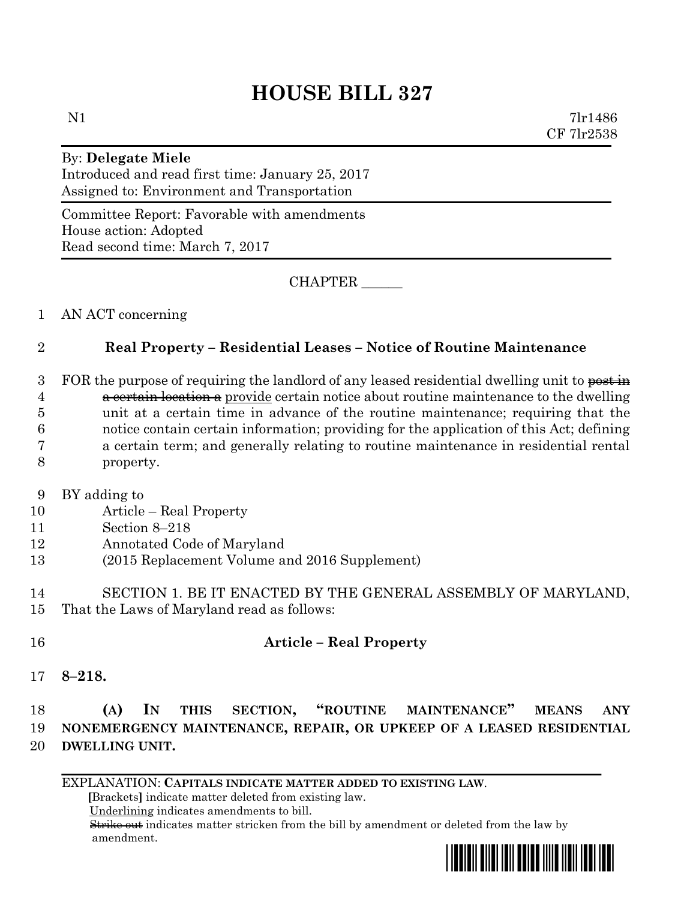# **HOUSE BILL 327**

N1 7lr1486 CF 7lr2538

### By: **Delegate Miele** Introduced and read first time: January 25, 2017 Assigned to: Environment and Transportation

Committee Report: Favorable with amendments House action: Adopted Read second time: March 7, 2017

CHAPTER \_\_\_\_\_\_

## 1 AN ACT concerning

## 2 **Real Property – Residential Leases – Notice of Routine Maintenance**

3 FOR the purpose of requiring the landlord of any leased residential dwelling unit to  $\frac{1}{e}$ 4 a certain location a provide certain notice about routine maintenance to the dwelling unit at a certain time in advance of the routine maintenance; requiring that the notice contain certain information; providing for the application of this Act; defining a certain term; and generally relating to routine maintenance in residential rental property.

- 9 BY adding to
- 10 Article Real Property
- 11 Section 8–218
- 12 Annotated Code of Maryland
- 13 (2015 Replacement Volume and 2016 Supplement)
- 14 SECTION 1. BE IT ENACTED BY THE GENERAL ASSEMBLY OF MARYLAND, 15 That the Laws of Maryland read as follows:

## 16 **Article – Real Property**

17 **8–218.**

## 18 **(A) IN THIS SECTION, "ROUTINE MAINTENANCE" MEANS ANY**  19 **NONEMERGENCY MAINTENANCE, REPAIR, OR UPKEEP OF A LEASED RESIDENTIAL**  20 **DWELLING UNIT.**

EXPLANATION: **CAPITALS INDICATE MATTER ADDED TO EXISTING LAW**.

 **[**Brackets**]** indicate matter deleted from existing law.

Underlining indicates amendments to bill.

 Strike out indicates matter stricken from the bill by amendment or deleted from the law by amendment.